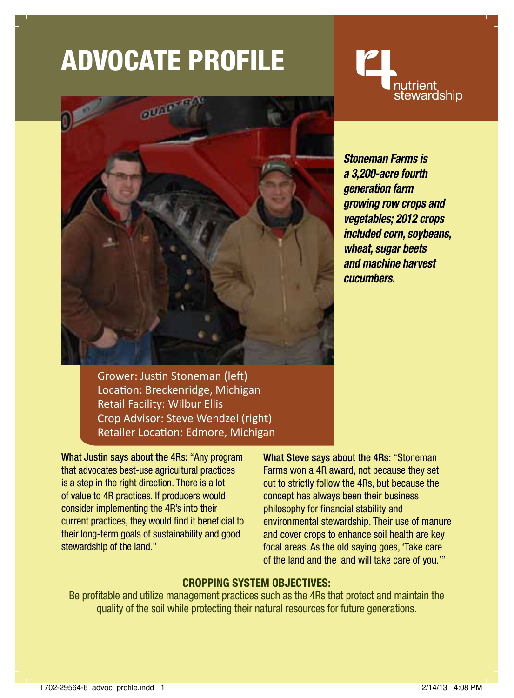# ADVocate Profile



nutrient<br>stewardship

*Stoneman Farms is a 3,200-acre fourth generation farm growing row crops and vegetables; 2012 crops included corn, soybeans, wheat, sugar beets and machine harvest cucumbers.*

Grower: Justin Stoneman (left) Location: Breckenridge, Michigan Retail Facility: Wilbur Ellis Crop Advisor: Steve Wendzel (right) Retailer Location: Edmore, Michigan

What Justin says about the 4Rs: "Any program that advocates best-use agricultural practices is a step in the right direction. There is a lot of value to 4R practices. If producers would consider implementing the 4R's into their current practices, they would find it beneficial to their long-term goals of sustainability and good stewardship of the land."

What Steve says about the 4Rs: "Stoneman Farms won a 4R award, not because they set out to strictly follow the 4Rs, but because the concept has always been their business philosophy for financial stability and environmental stewardship. Their use of manure and cover crops to enhance soil health are key focal areas. As the old saying goes, 'Take care of the land and the land will take care of you.'"

### **Cropping System Objectives:**

Be profitable and utilize management practices such as the 4Rs that protect and maintain the quality of the soil while protecting their natural resources for future generations.